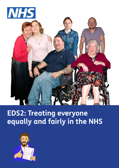

# **EDS2: Treating everyone equally and fairly in the NHS**

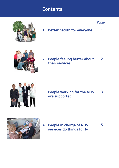# **Contents**



**1. Better health for everyone 1**

Page



**2. People feeling better about 2 their services**



**3. People working for the NHS 3 are supported**



**4. People in charge of NHS 5 services do things fairly**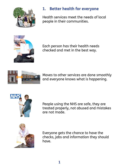

# **1. Better health for everyone**

Health services meet the needs of local people in their communities.



Each person has their health needs checked and met in the best way.



Moves to other services are done smoothly and everyone knows what is happening.



People using the NHS are safe, they are treated properly, not abused and mistakes are not made.



Everyone gets the chance to have the checks, jabs and information they should have.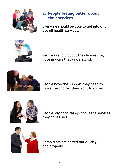

#### **2. People feeling better about their services**

Everyone should be able to get into and use all health services.



People are told about the choices they have in ways they understand.



People have the support they need to make the choices they want to make.



People say good things about the services they have used.



Complaints are sorted out quickly and properly.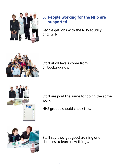

# **3. People working for the NHS are supported**

People get jobs with the NHS equally and fairly.



Staff at all levels come from all backgrounds.



Staff are paid the same for doing the same work.

NHS groups should check this.



Staff say they get good training and chances to learn new things.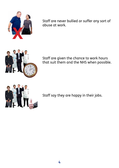

Staff are never bullied or suffer any sort of abuse at work.



Staff are given the chance to work hours that suit them and the NHS when possible.



Staff say they are happy in their jobs.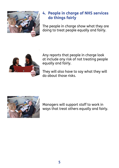

### **4. People in charge of NHS services do things fairly**

The people in charge show what they are doing to treat people equally and fairly.



Any reports that people in charge look at include any risk of not treating people equally and fairly.

They will also have to say what they will do about those risks.



Managers will support staff to work in ways that treat others equally and fairly.